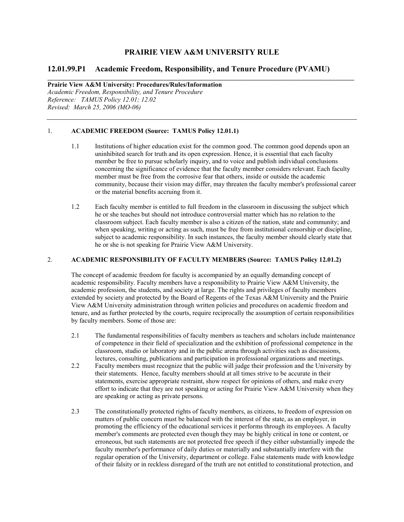# **PRAIRIE VIEW A&M UNIVERSITY RULE**

\_\_\_\_\_\_\_\_\_\_\_\_\_\_\_\_\_\_\_\_\_\_\_\_\_\_\_\_\_\_\_\_\_\_\_\_\_\_\_\_\_\_\_\_\_\_\_\_\_\_\_\_\_\_\_\_\_\_\_\_\_\_\_\_\_\_\_\_\_\_\_\_\_\_\_\_\_\_\_\_\_\_\_\_\_\_\_\_\_\_\_\_\_

# 12.01.99.P1 Academic Freedom, Responsibility, and Tenure Procedure (PVAMU)

Prairie View A&M University: Procedures/Rules/Information Academic Freedom, Responsibility, and Tenure Procedure Reference: TAMUS Policy 12.01; 12.02 Revised: March 25, 2006 (MO-06)

# 1. ACADEMIC FREEDOM (Source: TAMUS Policy 12.01.1)

- 1.1 Institutions of higher education exist for the common good. The common good depends upon an uninhibited search for truth and its open expression. Hence, it is essential that each faculty member be free to pursue scholarly inquiry, and to voice and publish individual conclusions concerning the significance of evidence that the faculty member considers relevant. Each faculty member must be free from the corrosive fear that others, inside or outside the academic community, because their vision may differ, may threaten the faculty member's professional career or the material benefits accruing from it.
- 1.2 Each faculty member is entitled to full freedom in the classroom in discussing the subject which he or she teaches but should not introduce controversial matter which has no relation to the classroom subject. Each faculty member is also a citizen of the nation, state and community; and when speaking, writing or acting as such, must be free from institutional censorship or discipline, subject to academic responsibility. In such instances, the faculty member should clearly state that he or she is not speaking for Prairie View A&M University.

### 2. ACADEMIC RESPOSIBILITY OF FACULTY MEMBERS (Source: TAMUS Policy 12.01.2)

The concept of academic freedom for faculty is accompanied by an equally demanding concept of academic responsibility. Faculty members have a responsibility to Prairie View A&M University, the academic profession, the students, and society at large. The rights and privileges of faculty members extended by society and protected by the Board of Regents of the Texas A&M University and the Prairie View A&M University administration through written policies and procedures on academic freedom and tenure, and as further protected by the courts, require reciprocally the assumption of certain responsibilities by faculty members. Some of those are:

- 2.1 The fundamental responsibilities of faculty members as teachers and scholars include maintenance of competence in their field of specialization and the exhibition of professional competence in the classroom, studio or laboratory and in the public arena through activities such as discussions, lectures, consulting, publications and participation in professional organizations and meetings.
- 2.2 Faculty members must recognize that the public will judge their profession and the University by their statements. Hence, faculty members should at all times strive to be accurate in their statements, exercise appropriate restraint, show respect for opinions of others, and make every effort to indicate that they are not speaking or acting for Prairie View A&M University when they are speaking or acting as private persons.
- 2.3 The constitutionally protected rights of faculty members, as citizens, to freedom of expression on matters of public concern must be balanced with the interest of the state, as an employer, in promoting the efficiency of the educational services it performs through its employees. A faculty member's comments are protected even though they may be highly critical in tone or content, or erroneous, but such statements are not protected free speech if they either substantially impede the faculty member's performance of daily duties or materially and substantially interfere with the regular operation of the University, department or college. False statements made with knowledge of their falsity or in reckless disregard of the truth are not entitled to constitutional protection, and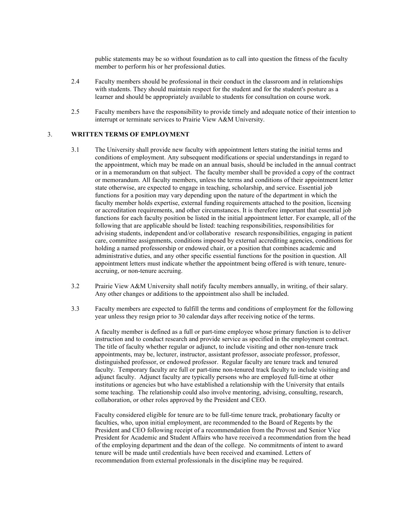public statements may be so without foundation as to call into question the fitness of the faculty member to perform his or her professional duties.

- 2.4 Faculty members should be professional in their conduct in the classroom and in relationships with students. They should maintain respect for the student and for the student's posture as a learner and should be appropriately available to students for consultation on course work.
- 2.5 Faculty members have the responsibility to provide timely and adequate notice of their intention to interrupt or terminate services to Prairie View A&M University.

### 3. WRITTEN TERMS OF EMPLOYMENT

- 3.1 The University shall provide new faculty with appointment letters stating the initial terms and conditions of employment. Any subsequent modifications or special understandings in regard to the appointment, which may be made on an annual basis, should be included in the annual contract or in a memorandum on that subject. The faculty member shall be provided a copy of the contract or memorandum. All faculty members, unless the terms and conditions of their appointment letter state otherwise, are expected to engage in teaching, scholarship, and service. Essential job functions for a position may vary depending upon the nature of the department in which the faculty member holds expertise, external funding requirements attached to the position, licensing or accreditation requirements, and other circumstances. It is therefore important that essential job functions for each faculty position be listed in the initial appointment letter. For example, all of the following that are applicable should be listed: teaching responsibilities, responsibilities for advising students, independent and/or collaborative research responsibilities, engaging in patient care, committee assignments, conditions imposed by external accrediting agencies, conditions for holding a named professorship or endowed chair, or a position that combines academic and administrative duties, and any other specific essential functions for the position in question. All appointment letters must indicate whether the appointment being offered is with tenure, tenureaccruing, or non-tenure accruing.
- 3.2 Prairie View A&M University shall notify faculty members annually, in writing, of their salary. Any other changes or additions to the appointment also shall be included.
- 3.3 Faculty members are expected to fulfill the terms and conditions of employment for the following year unless they resign prior to 30 calendar days after receiving notice of the terms.

A faculty member is defined as a full or part-time employee whose primary function is to deliver instruction and to conduct research and provide service as specified in the employment contract. The title of faculty whether regular or adjunct, to include visiting and other non-tenure track appointments, may be, lecturer, instructor, assistant professor, associate professor, professor, distinguished professor, or endowed professor. Regular faculty are tenure track and tenured faculty. Temporary faculty are full or part-time non-tenured track faculty to include visiting and adjunct faculty. Adjunct faculty are typically persons who are employed full-time at other institutions or agencies but who have established a relationship with the University that entails some teaching. The relationship could also involve mentoring, advising, consulting, research, collaboration, or other roles approved by the President and CEO.

Faculty considered eligible for tenure are to be full-time tenure track, probationary faculty or faculties, who, upon initial employment, are recommended to the Board of Regents by the President and CEO following receipt of a recommendation from the Provost and Senior Vice President for Academic and Student Affairs who have received a recommendation from the head of the employing department and the dean of the college. No commitments of intent to award tenure will be made until credentials have been received and examined. Letters of recommendation from external professionals in the discipline may be required.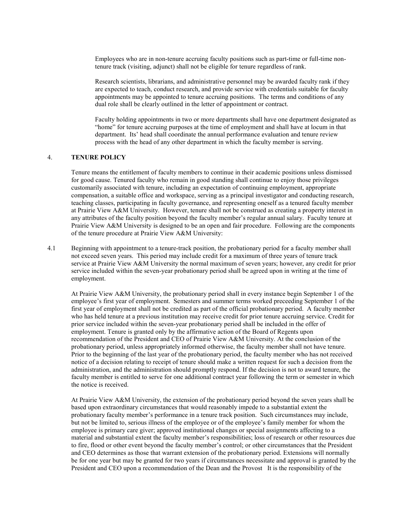Employees who are in non-tenure accruing faculty positions such as part-time or full-time nontenure track (visiting, adjunct) shall not be eligible for tenure regardless of rank.

Research scientists, librarians, and administrative personnel may be awarded faculty rank if they are expected to teach, conduct research, and provide service with credentials suitable for faculty appointments may be appointed to tenure accruing positions. The terms and conditions of any dual role shall be clearly outlined in the letter of appointment or contract.

Faculty holding appointments in two or more departments shall have one department designated as "home" for tenure accruing purposes at the time of employment and shall have at locum in that department. Its' head shall coordinate the annual performance evaluation and tenure review process with the head of any other department in which the faculty member is serving.

# 4. TEURE POLICY

Tenure means the entitlement of faculty members to continue in their academic positions unless dismissed for good cause. Tenured faculty who remain in good standing shall continue to enjoy those privileges customarily associated with tenure, including an expectation of continuing employment, appropriate compensation, a suitable office and workspace, serving as a principal investigator and conducting research, teaching classes, participating in faculty governance, and representing oneself as a tenured faculty member at Prairie View A&M University. However, tenure shall not be construed as creating a property interest in any attributes of the faculty position beyond the faculty member's regular annual salary. Faculty tenure at Prairie View A&M University is designed to be an open and fair procedure. Following are the components of the tenure procedure at Prairie View A&M University:

4.1 Beginning with appointment to a tenure-track position, the probationary period for a faculty member shall not exceed seven years. This period may include credit for a maximum of three years of tenure track service at Prairie View A&M University the normal maximum of seven years; however, any credit for prior service included within the seven-year probationary period shall be agreed upon in writing at the time of employment.

At Prairie View A&M University, the probationary period shall in every instance begin September 1 of the employee's first year of employment. Semesters and summer terms worked preceeding September 1 of the first year of employment shall not be credited as part of the official probationary period. A faculty member who has held tenure at a previous institution may receive credit for prior tenure accruing service. Credit for prior service included within the seven-year probationary period shall be included in the offer of employment. Tenure is granted only by the affirmative action of the Board of Regents upon recommendation of the President and CEO of Prairie View A&M University. At the conclusion of the probationary period, unless appropriately informed otherwise, the faculty member shall not have tenure. Prior to the beginning of the last year of the probationary period, the faculty member who has not received notice of a decision relating to receipt of tenure should make a written request for such a decision from the administration, and the administration should promptly respond. If the decision is not to award tenure, the faculty member is entitled to serve for one additional contract year following the term or semester in which the notice is received.

At Prairie View A&M University, the extension of the probationary period beyond the seven years shall be based upon extraordinary circumstances that would reasonably impede to a substantial extent the probationary faculty member's performance in a tenure track position. Such circumstances may include, but not be limited to, serious illness of the employee or of the employee's family member for whom the employee is primary care giver; approved institutional changes or special assignments affecting to a material and substantial extent the faculty member's responsibilities; loss of research or other resources due to fire, flood or other event beyond the faculty member's control; or other circumstances that the President and CEO determines as those that warrant extension of the probationary period. Extensions will normally be for one year but may be granted for two years if circumstances necessitate and approval is granted by the President and CEO upon a recommendation of the Dean and the Provost It is the responsibility of the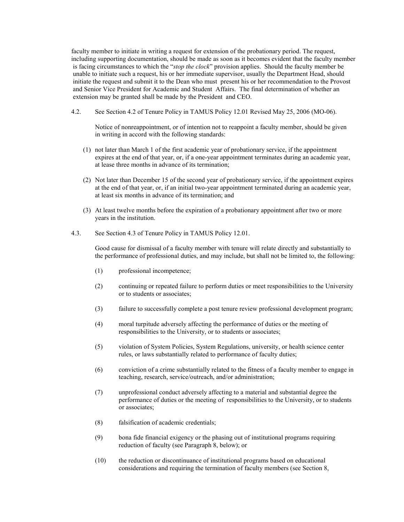faculty member to initiate in writing a request for extension of the probationary period. The request, including supporting documentation, should be made as soon as it becomes evident that the faculty member is facing circumstances to which the "stop the clock" provision applies. Should the faculty member be unable to initiate such a request, his or her immediate supervisor, usually the Department Head, should initiate the request and submit it to the Dean who must present his or her recommendation to the Provost and Senior Vice President for Academic and Student Affairs. The final determination of whether an extension may be granted shall be made by the President and CEO.

4.2. See Section 4.2 of Tenure Policy in TAMUS Policy 12.01 Revised May 25, 2006 (MO-06).

Notice of nonreappointment, or of intention not to reappoint a faculty member, should be given in writing in accord with the following standards:

- (1) not later than March 1 of the first academic year of probationary service, if the appointment expires at the end of that year, or, if a one-year appointment terminates during an academic year, at lease three months in advance of its termination;
- (2) Not later than December 15 of the second year of probationary service, if the appointment expires at the end of that year, or, if an initial two-year appointment terminated during an academic year, at least six months in advance of its termination; and
- (3) At least twelve months before the expiration of a probationary appointment after two or more years in the institution.
- 4.3. See Section 4.3 of Tenure Policy in TAMUS Policy 12.01.

Good cause for dismissal of a faculty member with tenure will relate directly and substantially to the performance of professional duties, and may include, but shall not be limited to, the following:

- (1) professional incompetence;
- (2) continuing or repeated failure to perform duties or meet responsibilities to the University or to students or associates;
- (3) failure to successfully complete a post tenure review professional development program;
- (4) moral turpitude adversely affecting the performance of duties or the meeting of responsibilities to the University, or to students or associates;
- (5) violation of System Policies, System Regulations, university, or health science center rules, or laws substantially related to performance of faculty duties;
- (6) conviction of a crime substantially related to the fitness of a faculty member to engage in teaching, research, service/outreach, and/or administration;
- (7) unprofessional conduct adversely affecting to a material and substantial degree the performance of duties or the meeting of responsibilities to the University, or to students or associates;
- (8) falsification of academic credentials;
- (9) bona fide financial exigency or the phasing out of institutional programs requiring reduction of faculty (see Paragraph 8, below); or
- (10) the reduction or discontinuance of institutional programs based on educational considerations and requiring the termination of faculty members (see Section 8,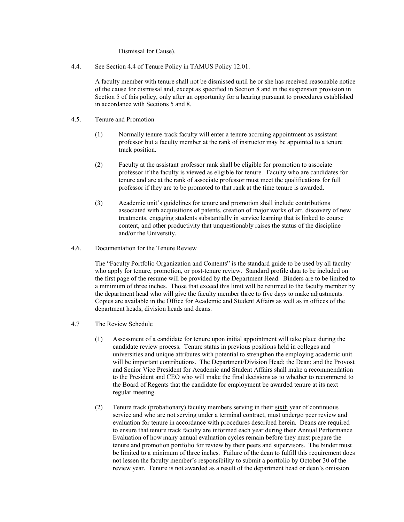### Dismissal for Cause).

4.4. See Section 4.4 of Tenure Policy in TAMUS Policy 12.01.

 A faculty member with tenure shall not be dismissed until he or she has received reasonable notice of the cause for dismissal and, except as specified in Section 8 and in the suspension provision in Section 5 of this policy, only after an opportunity for a hearing pursuant to procedures established in accordance with Sections 5 and 8.

- 4.5. Tenure and Promotion
	- (1) Normally tenure-track faculty will enter a tenure accruing appointment as assistant professor but a faculty member at the rank of instructor may be appointed to a tenure track position.
	- (2) Faculty at the assistant professor rank shall be eligible for promotion to associate professor if the faculty is viewed as eligible for tenure. Faculty who are candidates for tenure and are at the rank of associate professor must meet the qualifications for full professor if they are to be promoted to that rank at the time tenure is awarded.
	- (3) Academic unit's guidelines for tenure and promotion shall include contributions associated with acquisitions of patents, creation of major works of art, discovery of new treatments, engaging students substantially in service learning that is linked to course content, and other productivity that unquestionably raises the status of the discipline and/or the University.
- 4.6. Documentation for the Tenure Review

 The "Faculty Portfolio Organization and Contents" is the standard guide to be used by all faculty who apply for tenure, promotion, or post-tenure review. Standard profile data to be included on the first page of the resume will be provided by the Department Head. Binders are to be limited to a minimum of three inches. Those that exceed this limit will be returned to the faculty member by the department head who will give the faculty member three to five days to make adjustments. Copies are available in the Office for Academic and Student Affairs as well as in offices of the department heads, division heads and deans.

- 4.7 The Review Schedule
	- (1) Assessment of a candidate for tenure upon initial appointment will take place during the candidate review process. Tenure status in previous positions held in colleges and universities and unique attributes with potential to strengthen the employing academic unit will be important contributions. The Department/Division Head; the Dean; and the Provost and Senior Vice President for Academic and Student Affairs shall make a recommendation to the President and CEO who will make the final decisions as to whether to recommend to the Board of Regents that the candidate for employment be awarded tenure at its next regular meeting.
	- (2) Tenure track (probationary) faculty members serving in their sixth year of continuous service and who are not serving under a terminal contract, must undergo peer review and evaluation for tenure in accordance with procedures described herein. Deans are required to ensure that tenure track faculty are informed each year during their Annual Performance Evaluation of how many annual evaluation cycles remain before they must prepare the tenure and promotion portfolio for review by their peers and supervisors. The binder must be limited to a minimum of three inches. Failure of the dean to fulfill this requirement does not lessen the faculty member's responsibility to submit a portfolio by October 30 of the review year. Tenure is not awarded as a result of the department head or dean's omission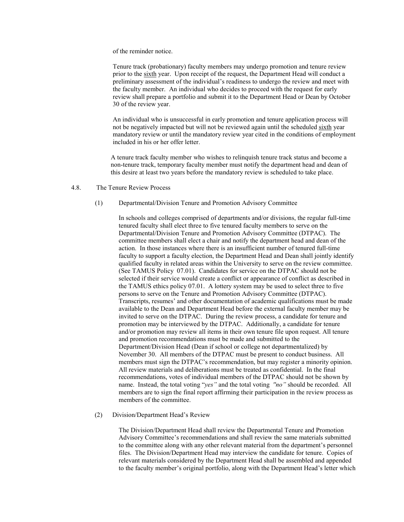of the reminder notice.

Tenure track (probationary) faculty members may undergo promotion and tenure review prior to the sixth year. Upon receipt of the request, the Department Head will conduct a preliminary assessment of the individual's readiness to undergo the review and meet with the faculty member. An individual who decides to proceed with the request for early review shall prepare a portfolio and submit it to the Department Head or Dean by October 30 of the review year.

An individual who is unsuccessful in early promotion and tenure application process will not be negatively impacted but will not be reviewed again until the scheduled sixth year mandatory review or until the mandatory review year cited in the conditions of employment included in his or her offer letter.

A tenure track faculty member who wishes to relinquish tenure track status and become a non-tenure track, temporary faculty member must notify the department head and dean of this desire at least two years before the mandatory review is scheduled to take place.

4.8. The Tenure Review Process

## (1) Departmental/Division Tenure and Promotion Advisory Committee

 In schools and colleges comprised of departments and/or divisions, the regular full-time tenured faculty shall elect three to five tenured faculty members to serve on the Departmental/Division Tenure and Promotion Advisory Committee (DTPAC). The committee members shall elect a chair and notify the department head and dean of the action. In those instances where there is an insufficient number of tenured full-time faculty to support a faculty election, the Department Head and Dean shall jointly identify qualified faculty in related areas within the University to serve on the review committee. (See TAMUS Policy 07.01). Candidates for service on the DTPAC should not be selected if their service would create a conflict or appearance of conflict as described in the TAMUS ethics policy 07.01. A lottery system may be used to select three to five persons to serve on the Tenure and Promotion Advisory Committee (DTPAC). Transcripts, resumes' and other documentation of academic qualifications must be made available to the Dean and Department Head before the external faculty member may be invited to serve on the DTPAC. During the review process, a candidate for tenure and promotion may be interviewed by the DTPAC. Additionally, a candidate for tenure and/or promotion may review all items in their own tenure file upon request. All tenure and promotion recommendations must be made and submitted to the Department/Division Head (Dean if school or college not departmentalized) by November 30. All members of the DTPAC must be present to conduct business. All members must sign the DTPAC's recommendation, but may register a minority opinion. All review materials and deliberations must be treated as confidential. In the final recommendations, votes of individual members of the DTPAC should not be shown by name. Instead, the total voting "yes" and the total voting "no" should be recorded. All members are to sign the final report affirming their participation in the review process as members of the committee.

#### (2) Division/Department Head's Review

The Division/Department Head shall review the Departmental Tenure and Promotion Advisory Committee's recommendations and shall review the same materials submitted to the committee along with any other relevant material from the department's personnel files. The Division/Department Head may interview the candidate for tenure. Copies of relevant materials considered by the Department Head shall be assembled and appended to the faculty member's original portfolio, along with the Department Head's letter which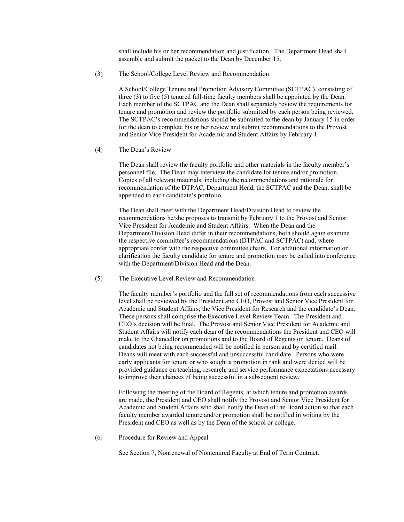shall include his or her recommendation and justification. The Department Head shall assemble and submit the packet to the Dean by December 15.

(3) The School/College Level Review and Recommendation

A School/College Tenure and Promotion Advisory Committee (SCTPAC), consisting of three (3) to five (5) tenured full-time faculty members shall be appointed by the Dean. Each member of the SCTPAC and the Dean shall separately review the requirements for tenure and promotion and review the portfolio submitted by each person being reviewed. The SCTPAC's recommendations should be submitted to the dean by January 15 in order for the dean to complete his or her review and submit recommendations to the Provost and Senior Vice President for Academic and Student Affairs by February 1.

(4) The Dean's Review

The Dean shall review the faculty portfolio and other materials in the faculty member's personnel file. The Dean may interview the candidate for tenure and/or promotion. Copies of all relevant materials, including the recommendations and rationale for recommendation of the DTPAC, Department Head, the SCTPAC and the Dean, shall be appended to each candidate's portfolio.

The Dean shall meet with the Department Head/Division Head to review the recommendations he/she proposes to transmit by February 1 to the Provost and Senior Vice President for Academic and Student Affairs. When the Dean and the Department/Division Head differ in their recommendations, both should again examine the respective committee's recommendations (DTPAC and SCTPAC) and, where appropriate confer with the respective committee chairs. For additional information or clarification the faculty candidate for tenure and promotion may be called into conference with the Department/Division Head and the Dean.

(5) The Executive Level Review and Recommendation

The faculty member's portfolio and the full set of recommendations from each successive level shall be reviewed by the President and CEO, Provost and Senior Vice President for Academic and Student Affairs, the Vice President for Research and the candidate's Dean. These persons shall comprise the Executive Level Review Team. The President and CEO's decision will be final. The Provost and Senior Vice President for Academic and Student Affairs will notify each dean of the recommendations the President and CEO will make to the Chancellor on promotions and to the Board of Regents on tenure. Deans of candidates not being recommended will be notified in person and by certified mail. Deans will meet with each successful and unsuccessful candidate. Persons who were early applicants for tenure or who sought a promotion in rank and were denied will be provided guidance on teaching, research, and service performance expectations necessary to improve their chances of being successful in a subsequent review.

 Following the meeting of the Board of Regents, at which tenure and promotion awards are made, the President and CEO shall notify the Provost and Senior Vice President for Academic and Student Affairs who shall notify the Dean of the Board action so that each faculty member awarded tenure and/or promotion shall be notified in writing by the President and CEO as well as by the Dean of the school or college.

(6) Procedure for Review and Appeal

See Section 7, Nonrenewal of Nontenured Faculty at End of Term Contract.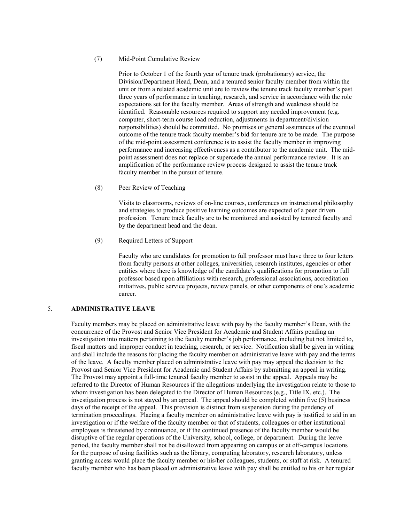#### (7) Mid-Point Cumulative Review

Prior to October 1 of the fourth year of tenure track (probationary) service, the Division/Department Head, Dean, and a tenured senior faculty member from within the unit or from a related academic unit are to review the tenure track faculty member's past three years of performance in teaching, research, and service in accordance with the role expectations set for the faculty member. Areas of strength and weakness should be identified. Reasonable resources required to support any needed improvement (e.g. computer, short-term course load reduction, adjustments in department/division responsibilities) should be committed. No promises or general assurances of the eventual outcome of the tenure track faculty member's bid for tenure are to be made. The purpose of the mid-point assessment conference is to assist the faculty member in improving performance and increasing effectiveness as a contributor to the academic unit. The midpoint assessment does not replace or supercede the annual performance review. It is an amplification of the performance review process designed to assist the tenure track faculty member in the pursuit of tenure.

(8) Peer Review of Teaching

Visits to classrooms, reviews of on-line courses, conferences on instructional philosophy and strategies to produce positive learning outcomes are expected of a peer driven profession. Tenure track faculty are to be monitored and assisted by tenured faculty and by the department head and the dean.

(9) Required Letters of Support

Faculty who are candidates for promotion to full professor must have three to four letters from faculty persons at other colleges, universities, research institutes, agencies or other entities where there is knowledge of the candidate's qualifications for promotion to full professor based upon affiliations with research, professional associations, accreditation initiatives, public service projects, review panels, or other components of one's academic career.

# 5. ADMIISTRATIVE LEAVE

Faculty members may be placed on administrative leave with pay by the faculty member's Dean, with the concurrence of the Provost and Senior Vice President for Academic and Student Affairs pending an investigation into matters pertaining to the faculty member's job performance, including but not limited to, fiscal matters and improper conduct in teaching, research, or service. Notification shall be given in writing and shall include the reasons for placing the faculty member on administrative leave with pay and the terms of the leave. A faculty member placed on administrative leave with pay may appeal the decision to the Provost and Senior Vice President for Academic and Student Affairs by submitting an appeal in writing. The Provost may appoint a full-time tenured faculty member to assist in the appeal. Appeals may be referred to the Director of Human Resources if the allegations underlying the investigation relate to those to whom investigation has been delegated to the Director of Human Resources (e.g., Title IX, etc.). The investigation process is not stayed by an appeal. The appeal should be completed within five (5) business days of the receipt of the appeal. This provision is distinct from suspension during the pendency of termination proceedings. Placing a faculty member on administrative leave with pay is justified to aid in an investigation or if the welfare of the faculty member or that of students, colleagues or other institutional employees is threatened by continuance, or if the continued presence of the faculty member would be disruptive of the regular operations of the University, school, college, or department. During the leave period, the faculty member shall not be disallowed from appearing on campus or at off-campus locations for the purpose of using facilities such as the library, computing laboratory, research laboratory, unless granting access would place the faculty member or his/her colleagues, students, or staff at risk. A tenured faculty member who has been placed on administrative leave with pay shall be entitled to his or her regular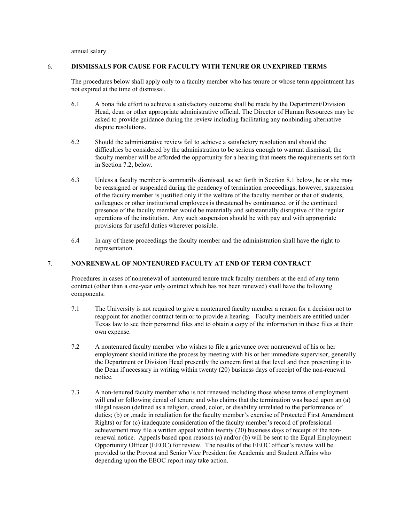annual salary.

# 6. DISMISSALS FOR CAUSE FOR FACULTY WITH TENURE OR UNEXPIRED TERMS

The procedures below shall apply only to a faculty member who has tenure or whose term appointment has not expired at the time of dismissal.

- 6.1 A bona fide effort to achieve a satisfactory outcome shall be made by the Department/Division Head, dean or other appropriate administrative official. The Director of Human Resources may be asked to provide guidance during the review including facilitating any nonbinding alternative dispute resolutions.
- 6.2 Should the administrative review fail to achieve a satisfactory resolution and should the difficulties be considered by the administration to be serious enough to warrant dismissal, the faculty member will be afforded the opportunity for a hearing that meets the requirements set forth in Section 7.2, below.
- 6.3 Unless a faculty member is summarily dismissed, as set forth in Section 8.1 below, he or she may be reassigned or suspended during the pendency of termination proceedings; however, suspension of the faculty member is justified only if the welfare of the faculty member or that of students, colleagues or other institutional employees is threatened by continuance, or if the continued presence of the faculty member would be materially and substantially disruptive of the regular operations of the institution. Any such suspension should be with pay and with appropriate provisions for useful duties wherever possible.
- 6.4 In any of these proceedings the faculty member and the administration shall have the right to representation.

# 7. NONRENEWAL OF NONTENURED FACULTY AT END OF TERM CONTRACT

Procedures in cases of nonrenewal of nontenured tenure track faculty members at the end of any term contract (other than a one-year only contract which has not been renewed) shall have the following components:

- 7.1 The University is not required to give a nontenured faculty member a reason for a decision not to reappoint for another contract term or to provide a hearing. Faculty members are entitled under Texas law to see their personnel files and to obtain a copy of the information in these files at their own expense.
- 7.2 A nontenured faculty member who wishes to file a grievance over nonrenewal of his or her employment should initiate the process by meeting with his or her immediate supervisor, generally the Department or Division Head presently the concern first at that level and then presenting it to the Dean if necessary in writing within twenty (20) business days of receipt of the non-renewal notice.
- 7.3 A non-tenured faculty member who is not renewed including those whose terms of employment will end or following denial of tenure and who claims that the termination was based upon an (a) illegal reason (defined as a religion, creed, color, or disability unrelated to the performance of duties; (b) or ,made in retaliation for the faculty member's exercise of Protected First Amendment Rights) or for (c) inadequate consideration of the faculty member's record of professional achievement may file a written appeal within twenty (20) business days of receipt of the nonrenewal notice. Appeals based upon reasons (a) and/or (b) will be sent to the Equal Employment Opportunity Officer (EEOC) for review. The results of the EEOC officer's review will be provided to the Provost and Senior Vice President for Academic and Student Affairs who depending upon the EEOC report may take action.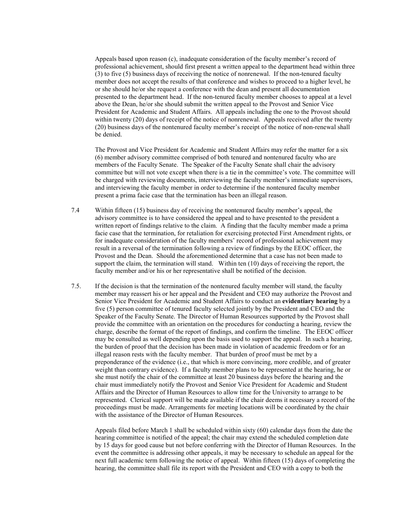Appeals based upon reason (c), inadequate consideration of the faculty member's record of professional achievement, should first present a written appeal to the department head within three (3) to five (5) business days of receiving the notice of nonrenewal. If the non-tenured faculty member does not accept the results of that conference and wishes to proceed to a higher level, he or she should he/or she request a conference with the dean and present all documentation presented to the department head. If the non-tenured faculty member chooses to appeal at a level above the Dean, he/or she should submit the written appeal to the Provost and Senior Vice President for Academic and Student Affairs. All appeals including the one to the Provost should within twenty (20) days of receipt of the notice of nonrenewal. Appeals received after the twenty (20) business days of the nontenured faculty member's receipt of the notice of non-renewal shall be denied.

The Provost and Vice President for Academic and Student Affairs may refer the matter for a six (6) member advisory committee comprised of both tenured and nontenured faculty who are members of the Faculty Senate. The Speaker of the Faculty Senate shall chair the advisory committee but will not vote except when there is a tie in the committee's vote. The committee will be charged with reviewing documents, interviewing the faculty member's immediate supervisors, and interviewing the faculty member in order to determine if the nontenured faculty member present a prima facie case that the termination has been an illegal reason.

- 7.4 Within fifteen (15) business day of receiving the nontenured faculty member's appeal, the advisory committee is to have considered the appeal and to have presented to the president a written report of findings relative to the claim. A finding that the faculty member made a prima facie case that the termination, for retaliation for exercising protected First Amendment rights, or for inadequate consideration of the faculty members' record of professional achievement may result in a reversal of the termination following a review of findings by the EEOC officer, the Provost and the Dean. Should the aforementioned determine that a case has not been made to support the claim, the termination will stand. Within ten (10) days of receiving the report, the faculty member and/or his or her representative shall be notified of the decision.
- 7.5. If the decision is that the termination of the nontenured faculty member will stand, the faculty member may reassert his or her appeal and the President and CEO may authorize the Provost and Senior Vice President for Academic and Student Affairs to conduct an evidentiary hearing by a five (5) person committee of tenured faculty selected jointly by the President and CEO and the Speaker of the Faculty Senate. The Director of Human Resources supported by the Provost shall provide the committee with an orientation on the procedures for conducting a hearing, review the charge, describe the format of the report of findings, and confirm the timeline. The EEOC officer may be consulted as well depending upon the basis used to support the appeal. In such a hearing, the burden of proof that the decision has been made in violation of academic freedom or for an illegal reason rests with the faculty member. That burden of proof must be met by a preponderance of the evidence (i.e., that which is more convincing, more credible, and of greater weight than contrary evidence). If a faculty member plans to be represented at the hearing, he or she must notify the chair of the committee at least 20 business days before the hearing and the chair must immediately notify the Provost and Senior Vice President for Academic and Student Affairs and the Director of Human Resources to allow time for the University to arrange to be represented. Clerical support will be made available if the chair deems it necessary a record of the proceedings must be made. Arrangements for meeting locations will be coordinated by the chair with the assistance of the Director of Human Resources.

Appeals filed before March 1 shall be scheduled within sixty (60) calendar days from the date the hearing committee is notified of the appeal; the chair may extend the scheduled completion date by 15 days for good cause but not before conferring with the Director of Human Resources. In the event the committee is addressing other appeals, it may be necessary to schedule an appeal for the next full academic term following the notice of appeal. Within fifteen (15) days of completing the hearing, the committee shall file its report with the President and CEO with a copy to both the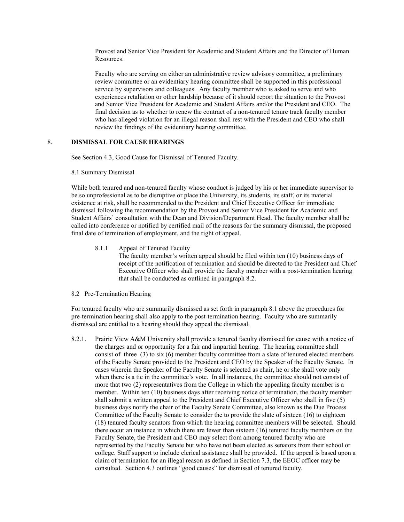Provost and Senior Vice President for Academic and Student Affairs and the Director of Human Resources.

Faculty who are serving on either an administrative review advisory committee, a preliminary review committee or an evidentiary hearing committee shall be supported in this professional service by supervisors and colleagues. Any faculty member who is asked to serve and who experiences retaliation or other hardship because of it should report the situation to the Provost and Senior Vice President for Academic and Student Affairs and/or the President and CEO. The final decision as to whether to renew the contract of a non-tenured tenure track faculty member who has alleged violation for an illegal reason shall rest with the President and CEO who shall review the findings of the evidentiary hearing committee.

### 8. DISMISSAL FOR CAUSE HEARINGS

See Section 4.3, Good Cause for Dismissal of Tenured Faculty.

#### 8.1 Summary Dismissal

While both tenured and non-tenured faculty whose conduct is judged by his or her immediate supervisor to be so unprofessional as to be disruptive or place the University, its students, its staff, or its material existence at risk, shall be recommended to the President and Chief Executive Officer for immediate dismissal following the recommendation by the Provost and Senior Vice President for Academic and Student Affairs' consultation with the Dean and Division/Department Head. The faculty member shall be called into conference or notified by certified mail of the reasons for the summary dismissal, the proposed final date of termination of employment, and the right of appeal.

#### 8.1.1 Appeal of Tenured Faculty

The faculty member's written appeal should be filed within ten (10) business days of receipt of the notification of termination and should be directed to the President and Chief Executive Officer who shall provide the faculty member with a post-termination hearing that shall be conducted as outlined in paragraph 8.2.

#### 8.2 Pre-Termination Hearing

For tenured faculty who are summarily dismissed as set forth in paragraph 8.1 above the procedures for pre-termination hearing shall also apply to the post-termination hearing. Faculty who are summarily dismissed are entitled to a hearing should they appeal the dismissal.

8.2.1. Prairie View A&M University shall provide a tenured faculty dismissed for cause with a notice of the charges and or opportunity for a fair and impartial hearing. The hearing committee shall consist of three (3) to six (6) member faculty committee from a slate of tenured elected members of the Faculty Senate provided to the President and CEO by the Speaker of the Faculty Senate. In cases wherein the Speaker of the Faculty Senate is selected as chair, he or she shall vote only when there is a tie in the committee's vote. In all instances, the committee should not consist of more that two (2) representatives from the College in which the appealing faculty member is a member. Within ten (10) business days after receiving notice of termination, the faculty member shall submit a written appeal to the President and Chief Executive Officer who shall in five (5) business days notify the chair of the Faculty Senate Committee, also known as the Due Process Committee of the Faculty Senate to consider the to provide the slate of sixteen (16) to eighteen (18) tenured faculty senators from which the hearing committee members will be selected. Should there occur an instance in which there are fewer than sixteen (16) tenured faculty members on the Faculty Senate, the President and CEO may select from among tenured faculty who are represented by the Faculty Senate but who have not been elected as senators from their school or college. Staff support to include clerical assistance shall be provided. If the appeal is based upon a claim of termination for an illegal reason as defined in Section 7.3, the EEOC officer may be consulted. Section 4.3 outlines "good causes" for dismissal of tenured faculty.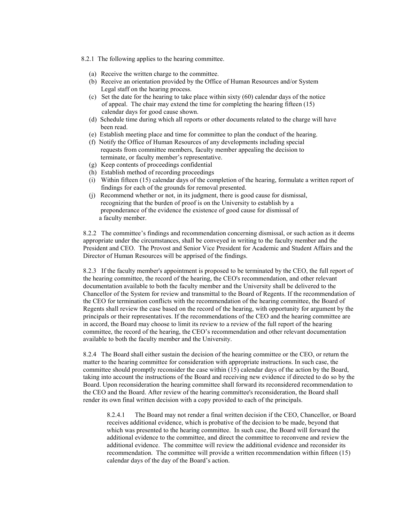- 8.2.1 The following applies to the hearing committee.
	- (a) Receive the written charge to the committee.
	- (b) Receive an orientation provided by the Office of Human Resources and/or System Legal staff on the hearing process.
	- (c) Set the date for the hearing to take place within sixty (60) calendar days of the notice of appeal. The chair may extend the time for completing the hearing fifteen (15) calendar days for good cause shown.
	- (d) Schedule time during which all reports or other documents related to the charge will have been read.
	- (e) Establish meeting place and time for committee to plan the conduct of the hearing.
	- (f) Notify the Office of Human Resources of any developments including special requests from committee members, faculty member appealing the decision to terminate, or faculty member's representative.
	- (g) Keep contents of proceedings confidential
	- (h) Establish method of recording proceedings
	- (i) Within fifteen (15) calendar days of the completion of the hearing, formulate a written report of findings for each of the grounds for removal presented.
	- (j) Recommend whether or not, in its judgment, there is good cause for dismissal, recognizing that the burden of proof is on the University to establish by a preponderance of the evidence the existence of good cause for dismissal of a faculty member.

8.2.2 The committee's findings and recommendation concerning dismissal, or such action as it deems appropriate under the circumstances, shall be conveyed in writing to the faculty member and the President and CEO. The Provost and Senior Vice President for Academic and Student Affairs and the Director of Human Resources will be apprised of the findings.

8.2.3 If the faculty member's appointment is proposed to be terminated by the CEO, the full report of the hearing committee, the record of the hearing, the CEO's recommendation, and other relevant documentation available to both the faculty member and the University shall be delivered to the Chancellor of the System for review and transmittal to the Board of Regents. If the recommendation of the CEO for termination conflicts with the recommendation of the hearing committee, the Board of Regents shall review the case based on the record of the hearing, with opportunity for argument by the principals or their representatives. If the recommendations of the CEO and the hearing committee are in accord, the Board may choose to limit its review to a review of the full report of the hearing committee, the record of the hearing, the CEO's recommendation and other relevant documentation available to both the faculty member and the University.

8.2.4 The Board shall either sustain the decision of the hearing committee or the CEO, or return the matter to the hearing committee for consideration with appropriate instructions. In such case, the committee should promptly reconsider the case within (15) calendar days of the action by the Board, taking into account the instructions of the Board and receiving new evidence if directed to do so by the Board. Upon reconsideration the hearing committee shall forward its reconsidered recommendation to the CEO and the Board. After review of the hearing committee's reconsideration, the Board shall render its own final written decision with a copy provided to each of the principals.

8.2.4.1 The Board may not render a final written decision if the CEO, Chancellor, or Board receives additional evidence, which is probative of the decision to be made, beyond that which was presented to the hearing committee. In such case, the Board will forward the additional evidence to the committee, and direct the committee to reconvene and review the additional evidence. The committee will review the additional evidence and reconsider its recommendation. The committee will provide a written recommendation within fifteen (15) calendar days of the day of the Board's action.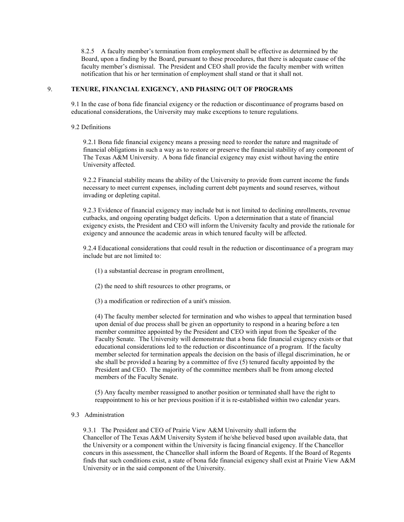8.2.5 A faculty member's termination from employment shall be effective as determined by the Board, upon a finding by the Board, pursuant to these procedures, that there is adequate cause of the faculty member's dismissal. The President and CEO shall provide the faculty member with written notification that his or her termination of employment shall stand or that it shall not.

### 9. TENURE, FINANCIAL EXIGENCY, AND PHASING OUT OF PROGRAMS

9.1 In the case of bona fide financial exigency or the reduction or discontinuance of programs based on educational considerations, the University may make exceptions to tenure regulations.

### 9.2 Definitions

9.2.1 Bona fide financial exigency means a pressing need to reorder the nature and magnitude of financial obligations in such a way as to restore or preserve the financial stability of any component of The Texas A&M University. A bona fide financial exigency may exist without having the entire University affected.

9.2.2 Financial stability means the ability of the University to provide from current income the funds necessary to meet current expenses, including current debt payments and sound reserves, without invading or depleting capital.

9.2.3 Evidence of financial exigency may include but is not limited to declining enrollments, revenue cutbacks, and ongoing operating budget deficits. Upon a determination that a state of financial exigency exists, the President and CEO will inform the University faculty and provide the rationale for exigency and announce the academic areas in which tenured faculty will be affected.

9.2.4 Educational considerations that could result in the reduction or discontinuance of a program may include but are not limited to:

- (1) a substantial decrease in program enrollment,
- (2) the need to shift resources to other programs, or
- (3) a modification or redirection of a unit's mission.

(4) The faculty member selected for termination and who wishes to appeal that termination based upon denial of due process shall be given an opportunity to respond in a hearing before a ten member committee appointed by the President and CEO with input from the Speaker of the Faculty Senate. The University will demonstrate that a bona fide financial exigency exists or that educational considerations led to the reduction or discontinuance of a program. If the faculty member selected for termination appeals the decision on the basis of illegal discrimination, he or she shall be provided a hearing by a committee of five (5) tenured faculty appointed by the President and CEO. The majority of the committee members shall be from among elected members of the Faculty Senate.

(5) Any faculty member reassigned to another position or terminated shall have the right to reappointment to his or her previous position if it is re-established within two calendar years.

# 9.3 Administration

9.3.1 The President and CEO of Prairie View A&M University shall inform the Chancellor of The Texas A&M University System if he/she believed based upon available data, that the University or a component within the University is facing financial exigency. If the Chancellor concurs in this assessment, the Chancellor shall inform the Board of Regents. If the Board of Regents finds that such conditions exist, a state of bona fide financial exigency shall exist at Prairie View A&M University or in the said component of the University.